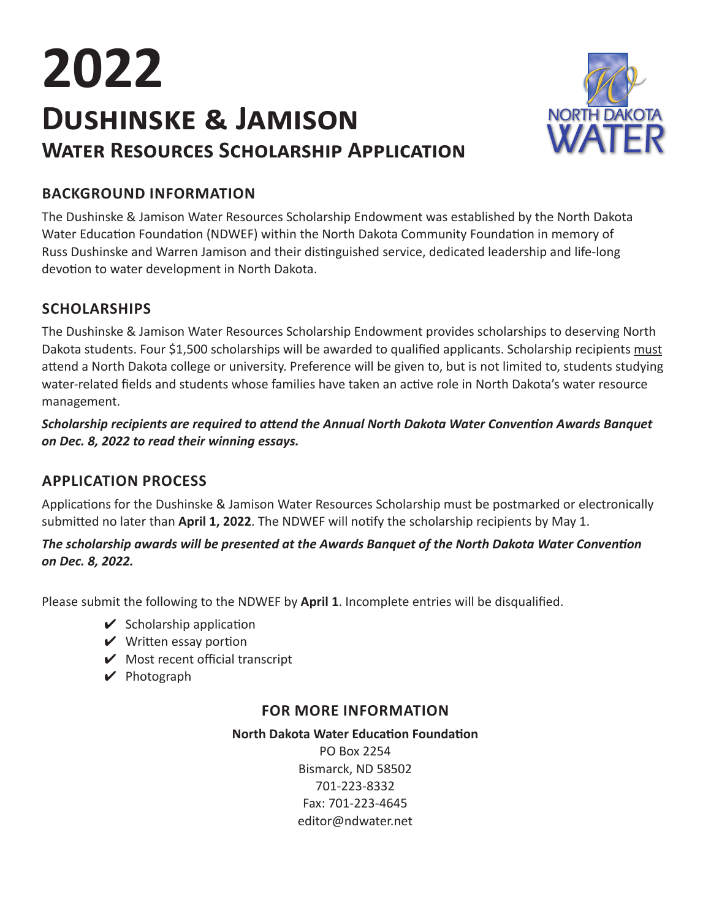# **Dushinske & Jamison Water Resources Scholarship Application 2022**



### **BACKGROUND INFORMATION**

The Dushinske & Jamison Water Resources Scholarship Endowment was established by the North Dakota Water Education Foundation (NDWEF) within the North Dakota Community Foundation in memory of Russ Dushinske and Warren Jamison and their distinguished service, dedicated leadership and life-long devotion to water development in North Dakota.

#### **SCHOLARSHIPS**

The Dushinske & Jamison Water Resources Scholarship Endowment provides scholarships to deserving North Dakota students. Four \$1,500 scholarships will be awarded to qualified applicants. Scholarship recipients must attend a North Dakota college or university. Preference will be given to, but is not limited to, students studying water-related fields and students whose families have taken an active role in North Dakota's water resource management.

*Scholarship recipients are required to attend the Annual North Dakota Water Convention Awards Banquet on Dec. 8, 2022 to read their winning essays.*

#### **APPLICATION PROCESS**

Applications for the Dushinske & Jamison Water Resources Scholarship must be postmarked or electronically submitted no later than **April 1, 2022**. The NDWEF will notify the scholarship recipients by May 1.

#### *The scholarship awards will be presented at the Awards Banquet of the North Dakota Water Convention on Dec. 8, 2022.*

Please submit the following to the NDWEF by **April 1**. Incomplete entries will be disqualified.

- $\checkmark$  Scholarship application
- $\vee$  Written essay portion
- $\mathcal V$  Most recent official transcript
- $\vee$  Photograph

#### **FOR MORE INFORMATION**

**North Dakota Water Education Foundation** PO Box 2254 Bismarck, ND 58502 701-223-8332 Fax: 701-223-4645 editor@ndwater.net